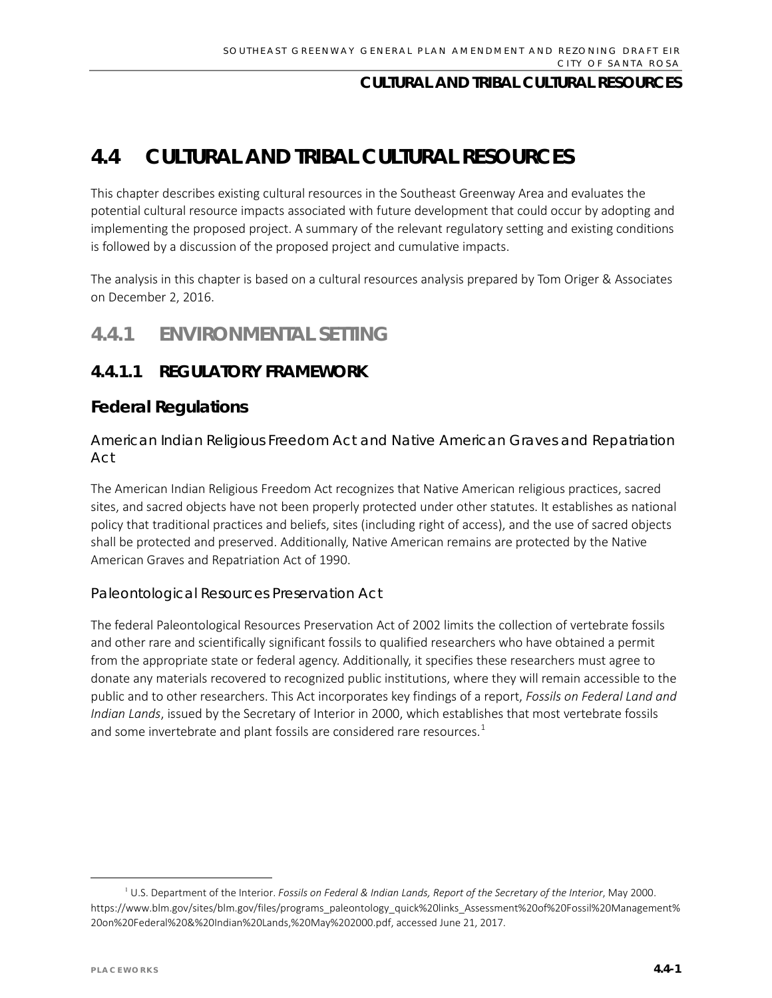# **4.4 CULTURAL AND TRIBAL CULTURAL RESOURCES**

This chapter describes existing cultural resources in the Southeast Greenway Area and evaluates the potential cultural resource impacts associated with future development that could occur by adopting and implementing the proposed project. A summary of the relevant regulatory setting and existing conditions is followed by a discussion of the proposed project and cumulative impacts.

The analysis in this chapter is based on a cultural resources analysis prepared by Tom Origer & Associates on December 2, 2016.

# **4.4.1 ENVIRONMENTAL SETTING**

# **4.4.1.1 REGULATORY FRAMEWORK**

## **Federal Regulations**

*American Indian Religious Freedom Act and Native American Graves and Repatriation Act*

The American Indian Religious Freedom Act recognizes that Native American religious practices, sacred sites, and sacred objects have not been properly protected under other statutes. It establishes as national policy that traditional practices and beliefs, sites (including right of access), and the use of sacred objects shall be protected and preserved. Additionally, Native American remains are protected by the Native American Graves and Repatriation Act of 1990.

#### *Paleontological Resources Preservation Act*

The federal Paleontological Resources Preservation Act of 2002 limits the collection of vertebrate fossils and other rare and scientifically significant fossils to qualified researchers who have obtained a permit from the appropriate state or federal agency. Additionally, it specifies these researchers must agree to donate any materials recovered to recognized public institutions, where they will remain accessible to the public and to other researchers. This Act incorporates key findings of a report, *Fossils on Federal Land and Indian Lands*, issued by the Secretary of Interior in 2000, which establishes that most vertebrate fossils and some invertebrate and plant fossils are considered rare resources. $1$ 

 $\overline{a}$ 

<span id="page-0-0"></span><sup>1</sup> U.S. Department of the Interior. *Fossils on Federal & Indian Lands, Report of the Secretary of the Interior*, May 2000. https://www.blm.gov/sites/blm.gov/files/programs\_paleontology\_quick%20links\_Assessment%20of%20Fossil%20Management% 20on%20Federal%20&%20Indian%20Lands,%20May%202000.pdf, accessed June 21, 2017.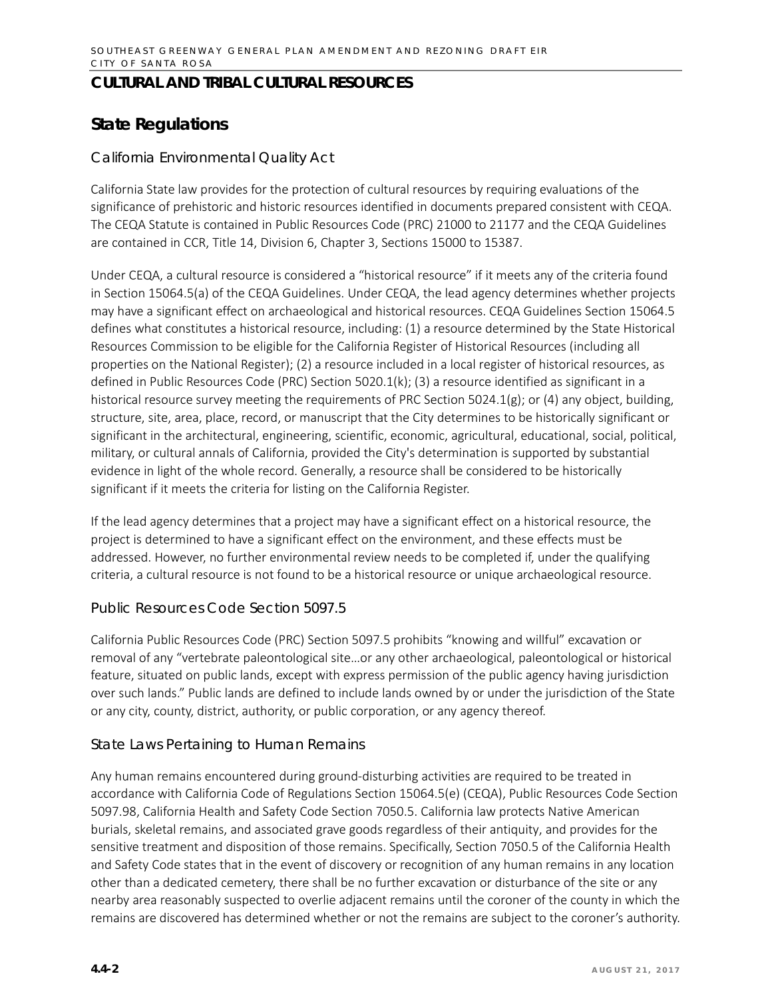# **State Regulations**

#### *California Environmental Quality Act*

California State law provides for the protection of cultural resources by requiring evaluations of the significance of prehistoric and historic resources identified in documents prepared consistent with CEQA. The CEQA Statute is contained in Public Resources Code (PRC) 21000 to 21177 and the CEQA Guidelines are contained in CCR, Title 14, Division 6, Chapter 3, Sections 15000 to 15387.

Under CEQA, a cultural resource is considered a "historical resource" if it meets any of the criteria found in Section 15064.5(a) of the CEQA Guidelines. Under CEQA, the lead agency determines whether projects may have a significant effect on archaeological and historical resources. CEQA Guidelines Section 15064.5 defines what constitutes a historical resource, including: (1) a resource determined by the State Historical Resources Commission to be eligible for the California Register of Historical Resources (including all properties on the National Register); (2) a resource included in a local register of historical resources, as defined in Public Resources Code (PRC) Section 5020.1(k); (3) a resource identified as significant in a historical resource survey meeting the requirements of PRC Section 5024.1(g); or (4) any object, building, structure, site, area, place, record, or manuscript that the City determines to be historically significant or significant in the architectural, engineering, scientific, economic, agricultural, educational, social, political, military, or cultural annals of California, provided the City's determination is supported by substantial evidence in light of the whole record. Generally, a resource shall be considered to be historically significant if it meets the criteria for listing on the California Register.

If the lead agency determines that a project may have a significant effect on a historical resource, the project is determined to have a significant effect on the environment, and these effects must be addressed. However, no further environmental review needs to be completed if, under the qualifying criteria, a cultural resource is not found to be a historical resource or unique archaeological resource.

#### *Public Resources Code Section 5097.5*

California Public Resources Code (PRC) Section 5097.5 prohibits "knowing and willful" excavation or removal of any "vertebrate paleontological site…or any other archaeological, paleontological or historical feature, situated on public lands, except with express permission of the public agency having jurisdiction over such lands." Public lands are defined to include lands owned by or under the jurisdiction of the State or any city, county, district, authority, or public corporation, or any agency thereof.

#### *State Laws Pertaining to Human Remains*

Any human remains encountered during ground-disturbing activities are required to be treated in accordance with California Code of Regulations Section 15064.5(e) (CEQA), Public Resources Code Section 5097.98, California Health and Safety Code Section 7050.5. California law protects Native American burials, skeletal remains, and associated grave goods regardless of their antiquity, and provides for the sensitive treatment and disposition of those remains. Specifically, Section 7050.5 of the California Health and Safety Code states that in the event of discovery or recognition of any human remains in any location other than a dedicated cemetery, there shall be no further excavation or disturbance of the site or any nearby area reasonably suspected to overlie adjacent remains until the coroner of the county in which the remains are discovered has determined whether or not the remains are subject to the coroner's authority.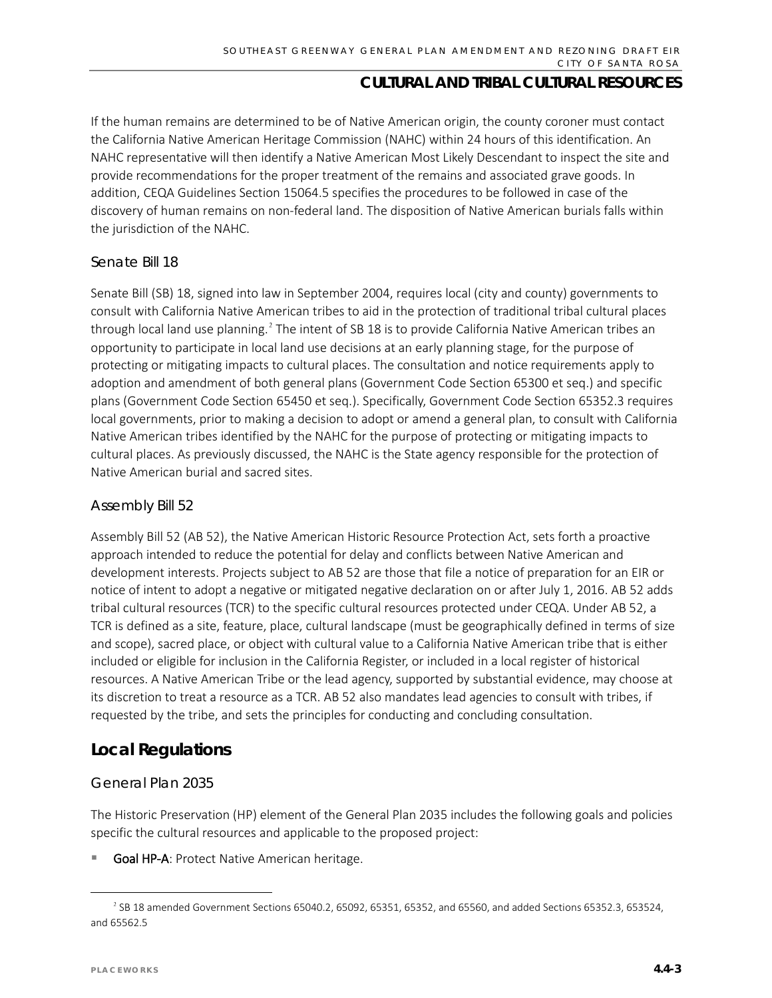If the human remains are determined to be of Native American origin, the county coroner must contact the California Native American Heritage Commission (NAHC) within 24 hours of this identification. An NAHC representative will then identify a Native American Most Likely Descendant to inspect the site and provide recommendations for the proper treatment of the remains and associated grave goods. In addition, CEQA Guidelines Section 15064.5 specifies the procedures to be followed in case of the discovery of human remains on non-federal land. The disposition of Native American burials falls within the jurisdiction of the NAHC.

#### *Senate Bill 18*

Senate Bill (SB) 18, signed into law in September 2004, requires local (city and county) governments to consult with California Native American tribes to aid in the protection of traditional tribal cultural places through local land use planning.<sup>[2](#page-2-0)</sup> The intent of SB 18 is to provide California Native American tribes an opportunity to participate in local land use decisions at an early planning stage, for the purpose of protecting or mitigating impacts to cultural places. The consultation and notice requirements apply to adoption and amendment of both general plans (Government Code Section 65300 et seq.) and specific plans (Government Code Section 65450 et seq.). Specifically, Government Code Section 65352.3 requires local governments, prior to making a decision to adopt or amend a general plan, to consult with California Native American tribes identified by the NAHC for the purpose of protecting or mitigating impacts to cultural places. As previously discussed, the NAHC is the State agency responsible for the protection of Native American burial and sacred sites.

### *Assembly Bill 52*

Assembly Bill 52 (AB 52), the Native American Historic Resource Protection Act, sets forth a proactive approach intended to reduce the potential for delay and conflicts between Native American and development interests. Projects subject to AB 52 are those that file a notice of preparation for an EIR or notice of intent to adopt a negative or mitigated negative declaration on or after July 1, 2016. AB 52 adds tribal cultural resources (TCR) to the specific cultural resources protected under CEQA. Under AB 52, a TCR is defined as a site, feature, place, cultural landscape (must be geographically defined in terms of size and scope), sacred place, or object with cultural value to a California Native American tribe that is either included or eligible for inclusion in the California Register, or included in a local register of historical resources. A Native American Tribe or the lead agency, supported by substantial evidence, may choose at its discretion to treat a resource as a TCR. AB 52 also mandates lead agencies to consult with tribes, if requested by the tribe, and sets the principles for conducting and concluding consultation.

# **Local Regulations**

### *General Plan 2035*

The Historic Preservation (HP) element of the General Plan 2035 includes the following goals and policies specific the cultural resources and applicable to the proposed project:

Goal HP-A: Protect Native American heritage.

 $\overline{a}$ 

<span id="page-2-0"></span> $^{2}$  SB 18 amended Government Sections 65040.2, 65092, 65351, 65352, and 65560, and added Sections 65352.3, 653524, and 65562.5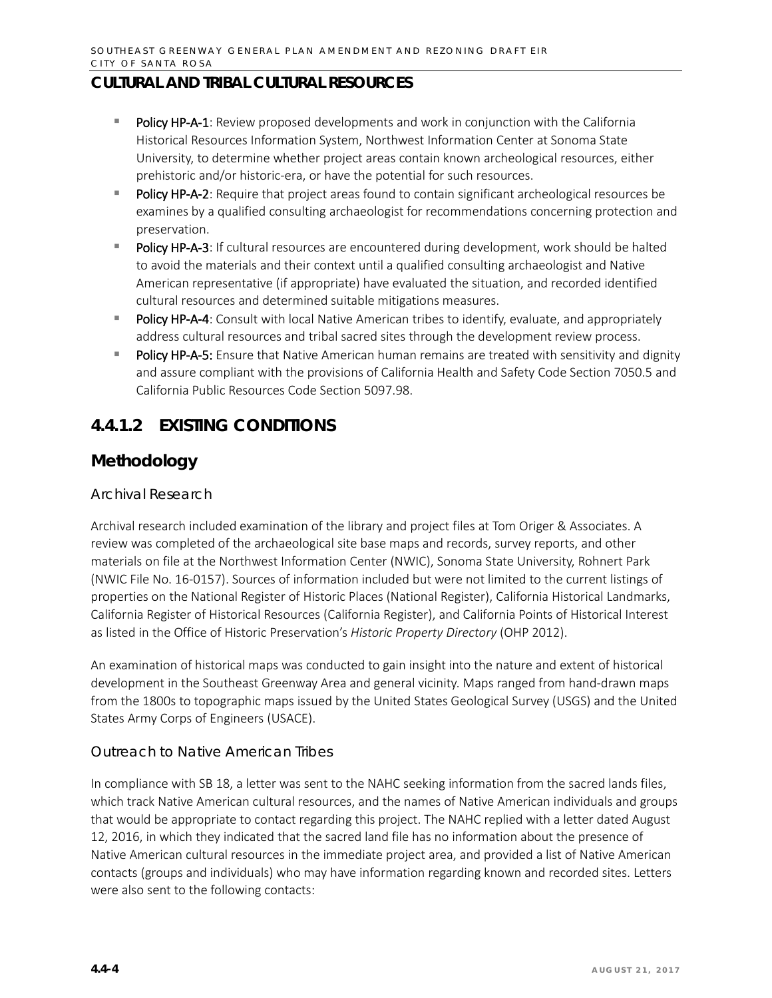- Policy HP-A-1: Review proposed developments and work in conjunction with the California Historical Resources Information System, Northwest Information Center at Sonoma State University, to determine whether project areas contain known archeological resources, either prehistoric and/or historic-era, or have the potential for such resources.
- Policy HP-A-2: Require that project areas found to contain significant archeological resources be examines by a qualified consulting archaeologist for recommendations concerning protection and preservation.
- Policy HP-A-3: If cultural resources are encountered during development, work should be halted to avoid the materials and their context until a qualified consulting archaeologist and Native American representative (if appropriate) have evaluated the situation, and recorded identified cultural resources and determined suitable mitigations measures.
- Policy HP-A-4: Consult with local Native American tribes to identify, evaluate, and appropriately address cultural resources and tribal sacred sites through the development review process.
- Policy HP-A-5: Ensure that Native American human remains are treated with sensitivity and dignity and assure compliant with the provisions of California Health and Safety Code Section 7050.5 and California Public Resources Code Section 5097.98.

# **4.4.1.2 EXISTING CONDITIONS**

# **Methodology**

### *Archival Research*

Archival research included examination of the library and project files at Tom Origer & Associates. A review was completed of the archaeological site base maps and records, survey reports, and other materials on file at the Northwest Information Center (NWIC), Sonoma State University, Rohnert Park (NWIC File No. 16-0157). Sources of information included but were not limited to the current listings of properties on the National Register of Historic Places (National Register), California Historical Landmarks, California Register of Historical Resources (California Register), and California Points of Historical Interest as listed in the Office of Historic Preservation's *Historic Property Directory* (OHP 2012).

An examination of historical maps was conducted to gain insight into the nature and extent of historical development in the Southeast Greenway Area and general vicinity. Maps ranged from hand-drawn maps from the 1800s to topographic maps issued by the United States Geological Survey (USGS) and the United States Army Corps of Engineers (USACE).

#### *Outreach to Native American Tribes*

In compliance with SB 18, a letter was sent to the NAHC seeking information from the sacred lands files, which track Native American cultural resources, and the names of Native American individuals and groups that would be appropriate to contact regarding this project. The NAHC replied with a letter dated August 12, 2016, in which they indicated that the sacred land file has no information about the presence of Native American cultural resources in the immediate project area, and provided a list of Native American contacts (groups and individuals) who may have information regarding known and recorded sites. Letters were also sent to the following contacts: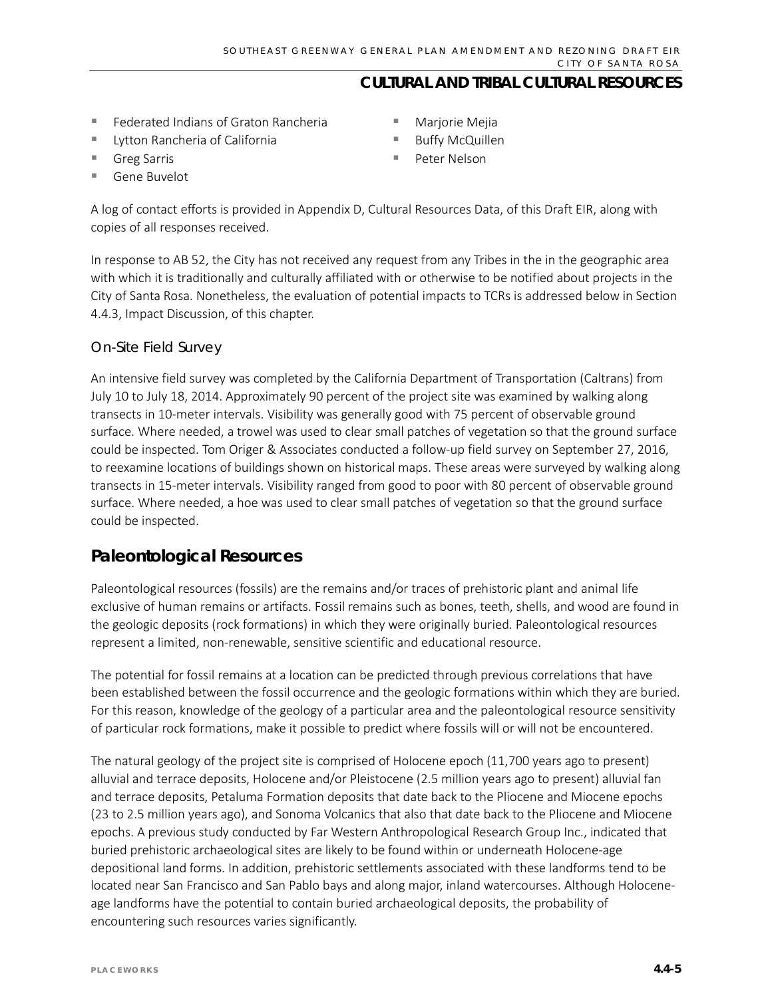- Federated Indians of Graton Rancheria
- **Lytton Rancheria of California**
- Greg Sarris
- Gene Buvelot
- Marjorie Mejia
- Buffy McQuillen
- Peter Nelson

A log of contact efforts is provided in Appendix D, Cultural Resources Data, of this Draft EIR, along with copies of all responses received.

In response to AB 52, the City has not received any request from any Tribes in the in the geographic area with which it is traditionally and culturally affiliated with or otherwise to be notified about projects in the City of Santa Rosa. Nonetheless, the evaluation of potential impacts to TCRs is addressed below in Section 4.4.3, Impact Discussion, of this chapter.

#### *On-Site Field Survey*

An intensive field survey was completed by the California Department of Transportation (Caltrans) from July 10 to July 18, 2014. Approximately 90 percent of the project site was examined by walking along transects in 10-meter intervals. Visibility was generally good with 75 percent of observable ground surface. Where needed, a trowel was used to clear small patches of vegetation so that the ground surface could be inspected. Tom Origer & Associates conducted a follow-up field survey on September 27, 2016, to reexamine locations of buildings shown on historical maps. These areas were surveyed by walking along transects in 15-meter intervals. Visibility ranged from good to poor with 80 percent of observable ground surface. Where needed, a hoe was used to clear small patches of vegetation so that the ground surface could be inspected.

# **Paleontological Resources**

Paleontological resources (fossils) are the remains and/or traces of prehistoric plant and animal life exclusive of human remains or artifacts. Fossil remains such as bones, teeth, shells, and wood are found in the geologic deposits (rock formations) in which they were originally buried. Paleontological resources represent a limited, non-renewable, sensitive scientific and educational resource.

The potential for fossil remains at a location can be predicted through previous correlations that have been established between the fossil occurrence and the geologic formations within which they are buried. For this reason, knowledge of the geology of a particular area and the paleontological resource sensitivity of particular rock formations, make it possible to predict where fossils will or will not be encountered.

The natural geology of the project site is comprised of Holocene epoch (11,700 years ago to present) alluvial and terrace deposits, Holocene and/or Pleistocene (2.5 million years ago to present) alluvial fan and terrace deposits, Petaluma Formation deposits that date back to the Pliocene and Miocene epochs (23 to 2.5 million years ago), and Sonoma Volcanics that also that date back to the Pliocene and Miocene epochs. A previous study conducted by Far Western Anthropological Research Group Inc., indicated that buried prehistoric archaeological sites are likely to be found within or underneath Holocene-age depositional land forms. In addition, prehistoric settlements associated with these landforms tend to be located near San Francisco and San Pablo bays and along major, inland watercourses. Although Holoceneage landforms have the potential to contain buried archaeological deposits, the probability of encountering such resources varies significantly.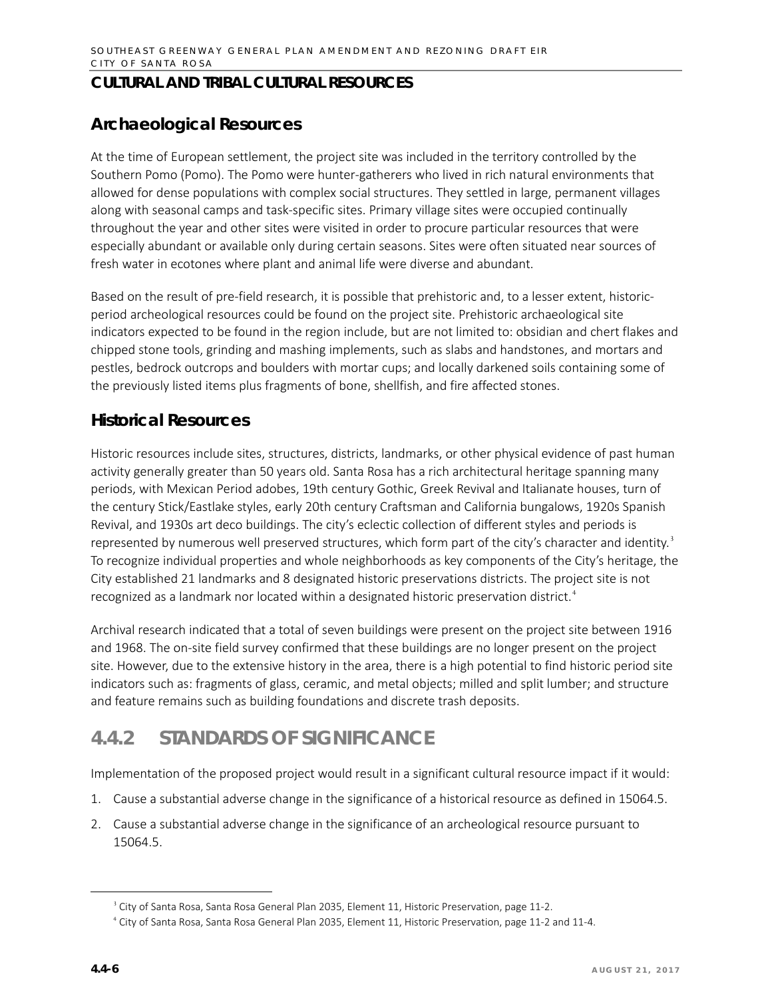# **Archaeological Resources**

At the time of European settlement, the project site was included in the territory controlled by the Southern Pomo (Pomo). The Pomo were hunter-gatherers who lived in rich natural environments that allowed for dense populations with complex social structures. They settled in large, permanent villages along with seasonal camps and task-specific sites. Primary village sites were occupied continually throughout the year and other sites were visited in order to procure particular resources that were especially abundant or available only during certain seasons. Sites were often situated near sources of fresh water in ecotones where plant and animal life were diverse and abundant.

Based on the result of pre-field research, it is possible that prehistoric and, to a lesser extent, historicperiod archeological resources could be found on the project site. Prehistoric archaeological site indicators expected to be found in the region include, but are not limited to: obsidian and chert flakes and chipped stone tools, grinding and mashing implements, such as slabs and handstones, and mortars and pestles, bedrock outcrops and boulders with mortar cups; and locally darkened soils containing some of the previously listed items plus fragments of bone, shellfish, and fire affected stones.

# **Historical Resources**

Historic resources include sites, structures, districts, landmarks, or other physical evidence of past human activity generally greater than 50 years old. Santa Rosa has a rich architectural heritage spanning many periods, with Mexican Period adobes, 19th century Gothic, Greek Revival and Italianate houses, turn of the century Stick/Eastlake styles, early 20th century Craftsman and California bungalows, 1920s Spanish Revival, and 1930s art deco buildings. The city's eclectic collection of different styles and periods is represented by numerous well preserved structures, which form part of the city's character and identity.<sup>[3](#page-5-0)</sup> To recognize individual properties and whole neighborhoods as key components of the City's heritage, the City established 21 landmarks and 8 designated historic preservations districts. The project site is not recognized as a landmark nor located within a designated historic preservation district.<sup>[4](#page-5-1)</sup>

Archival research indicated that a total of seven buildings were present on the project site between 1916 and 1968. The on-site field survey confirmed that these buildings are no longer present on the project site. However, due to the extensive history in the area, there is a high potential to find historic period site indicators such as: fragments of glass, ceramic, and metal objects; milled and split lumber; and structure and feature remains such as building foundations and discrete trash deposits.

# **4.4.2 STANDARDS OF SIGNIFICANCE**

Implementation of the proposed project would result in a significant cultural resource impact if it would:

- 1. Cause a substantial adverse change in the significance of a historical resource as defined in 15064.5.
- 2. Cause a substantial adverse change in the significance of an archeological resource pursuant to 15064.5.

<span id="page-5-1"></span><span id="page-5-0"></span>l

<sup>&</sup>lt;sup>3</sup> City of Santa Rosa, Santa Rosa General Plan 2035, Element 11, Historic Preservation, page 11-2.

<sup>4</sup> City of Santa Rosa, Santa Rosa General Plan 2035, Element 11, Historic Preservation, page 11-2 and 11-4.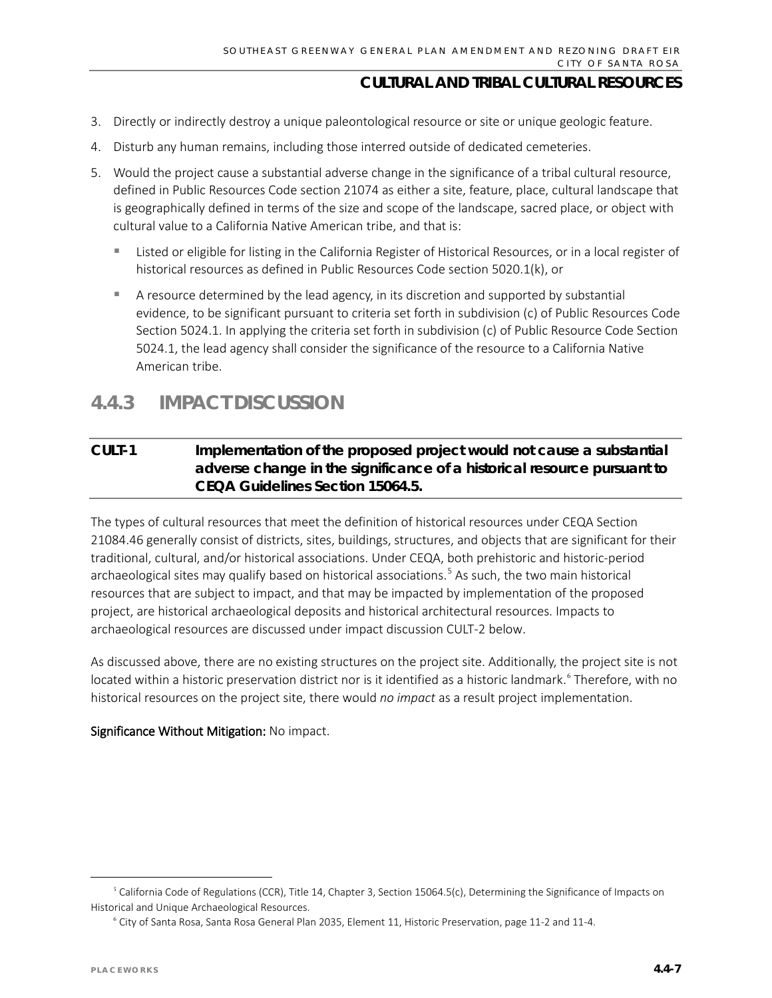- 3. Directly or indirectly destroy a unique paleontological resource or site or unique geologic feature.
- 4. Disturb any human remains, including those interred outside of dedicated cemeteries.
- 5. Would the project cause a substantial adverse change in the significance of a tribal cultural resource, defined in Public Resources Code section 21074 as either a site, feature, place, cultural landscape that is geographically defined in terms of the size and scope of the landscape, sacred place, or object with cultural value to a California Native American tribe, and that is:
	- Listed or eligible for listing in the California Register of Historical Resources, or in a local register of historical resources as defined in Public Resources Code section 5020.1(k), or
	- A resource determined by the lead agency, in its discretion and supported by substantial evidence, to be significant pursuant to criteria set forth in subdivision (c) of Public Resources Code Section 5024.1. In applying the criteria set forth in subdivision (c) of Public Resource Code Section 5024.1, the lead agency shall consider the significance of the resource to a California Native American tribe.

# **4.4.3 IMPACT DISCUSSION**

### **CULT-1 Implementation of the proposed project would not cause a substantial adverse change in the significance of a historical resource pursuant to CEQA Guidelines Section 15064.5.**

The types of cultural resources that meet the definition of historical resources under CEQA Section 21084.46 generally consist of districts, sites, buildings, structures, and objects that are significant for their traditional, cultural, and/or historical associations. Under CEQA, both prehistoric and historic-period archaeological sites may qualify based on historical associations.<sup>[5](#page-6-0)</sup> As such, the two main historical resources that are subject to impact, and that may be impacted by implementation of the proposed project, are historical archaeological deposits and historical architectural resources. Impacts to archaeological resources are discussed under impact discussion CULT-2 below.

As discussed above, there are no existing structures on the project site. Additionally, the project site is not located within a historic preservation district nor is it identified as a historic landmark.<sup>[6](#page-6-1)</sup> Therefore, with no historical resources on the project site, there would *no impact* as a result project implementation.

#### Significance Without Mitigation: No impact.

l

<span id="page-6-1"></span><span id="page-6-0"></span> $5$  California Code of Regulations (CCR), Title 14, Chapter 3, Section 15064.5(c), Determining the Significance of Impacts on Historical and Unique Archaeological Resources.

 $6$  City of Santa Rosa, Santa Rosa General Plan 2035, Element 11, Historic Preservation, page 11-2 and 11-4.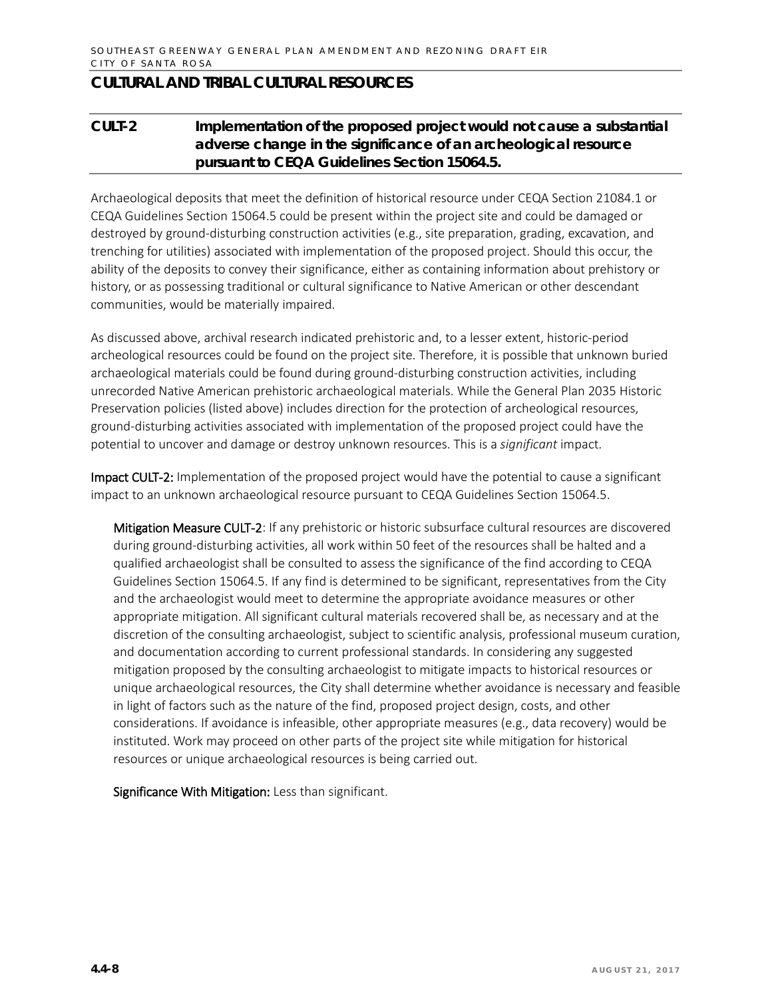## **CULT-2 Implementation of the proposed project would not cause a substantial adverse change in the significance of an archeological resource pursuant to CEQA Guidelines Section 15064.5.**

Archaeological deposits that meet the definition of historical resource under CEQA Section 21084.1 or CEQA Guidelines Section 15064.5 could be present within the project site and could be damaged or destroyed by ground-disturbing construction activities (e.g., site preparation, grading, excavation, and trenching for utilities) associated with implementation of the proposed project. Should this occur, the ability of the deposits to convey their significance, either as containing information about prehistory or history, or as possessing traditional or cultural significance to Native American or other descendant communities, would be materially impaired.

As discussed above, archival research indicated prehistoric and, to a lesser extent, historic-period archeological resources could be found on the project site. Therefore, it is possible that unknown buried archaeological materials could be found during ground-disturbing construction activities, including unrecorded Native American prehistoric archaeological materials. While the General Plan 2035 Historic Preservation policies (listed above) includes direction for the protection of archeological resources, ground-disturbing activities associated with implementation of the proposed project could have the potential to uncover and damage or destroy unknown resources. This is a *significant* impact.

Impact CULT-2: Implementation of the proposed project would have the potential to cause a significant impact to an unknown archaeological resource pursuant to CEQA Guidelines Section 15064.5.

Mitigation Measure CULT-2: If any prehistoric or historic subsurface cultural resources are discovered during ground-disturbing activities, all work within 50 feet of the resources shall be halted and a qualified archaeologist shall be consulted to assess the significance of the find according to CEQA Guidelines Section 15064.5. If any find is determined to be significant, representatives from the City and the archaeologist would meet to determine the appropriate avoidance measures or other appropriate mitigation. All significant cultural materials recovered shall be, as necessary and at the discretion of the consulting archaeologist, subject to scientific analysis, professional museum curation, and documentation according to current professional standards. In considering any suggested mitigation proposed by the consulting archaeologist to mitigate impacts to historical resources or unique archaeological resources, the City shall determine whether avoidance is necessary and feasible in light of factors such as the nature of the find, proposed project design, costs, and other considerations. If avoidance is infeasible, other appropriate measures (e.g., data recovery) would be instituted. Work may proceed on other parts of the project site while mitigation for historical resources or unique archaeological resources is being carried out.

Significance With Mitigation: Less than significant.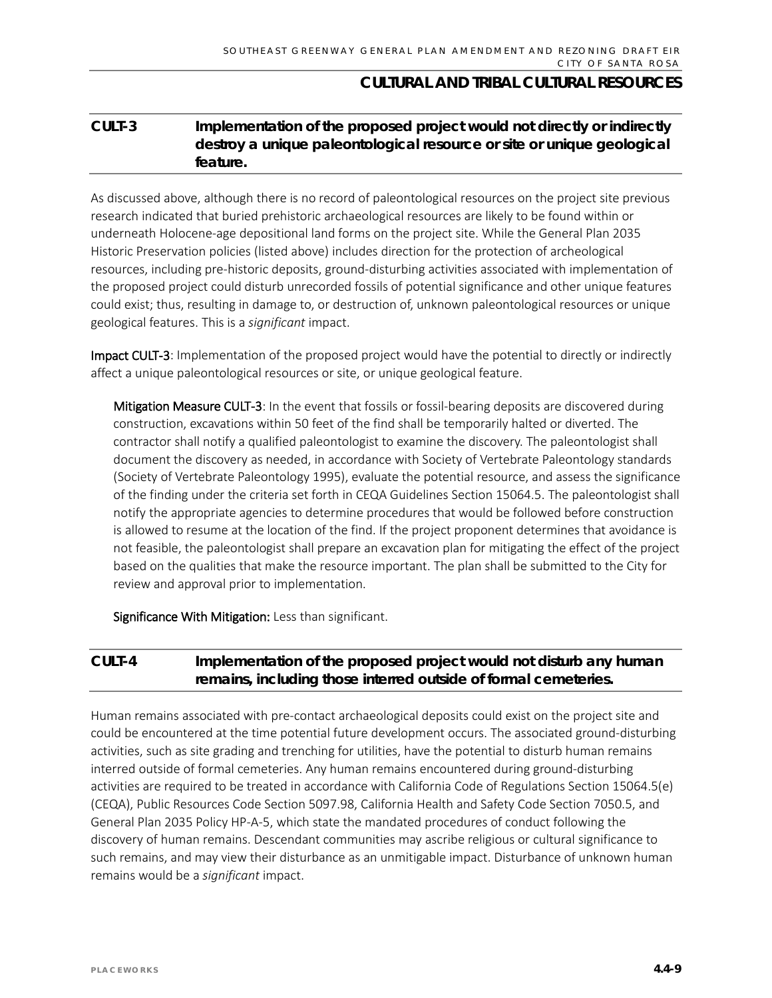### **CULT-3 Implementation of the proposed project would not directly or indirectly destroy a unique paleontological resource or site or unique geological feature.**

As discussed above, although there is no record of paleontological resources on the project site previous research indicated that buried prehistoric archaeological resources are likely to be found within or underneath Holocene-age depositional land forms on the project site. While the General Plan 2035 Historic Preservation policies (listed above) includes direction for the protection of archeological resources, including pre-historic deposits, ground-disturbing activities associated with implementation of the proposed project could disturb unrecorded fossils of potential significance and other unique features could exist; thus, resulting in damage to, or destruction of, unknown paleontological resources or unique geological features. This is a *significant* impact.

Impact CULT-3: Implementation of the proposed project would have the potential to directly or indirectly affect a unique paleontological resources or site, or unique geological feature.

Mitigation Measure CULT-3: In the event that fossils or fossil-bearing deposits are discovered during construction, excavations within 50 feet of the find shall be temporarily halted or diverted. The contractor shall notify a qualified paleontologist to examine the discovery. The paleontologist shall document the discovery as needed, in accordance with Society of Vertebrate Paleontology standards (Society of Vertebrate Paleontology 1995), evaluate the potential resource, and assess the significance of the finding under the criteria set forth in CEQA Guidelines Section 15064.5. The paleontologist shall notify the appropriate agencies to determine procedures that would be followed before construction is allowed to resume at the location of the find. If the project proponent determines that avoidance is not feasible, the paleontologist shall prepare an excavation plan for mitigating the effect of the project based on the qualities that make the resource important. The plan shall be submitted to the City for review and approval prior to implementation.

Significance With Mitigation: Less than significant.

### **CULT-4 Implementation of the proposed project would not disturb any human remains, including those interred outside of formal cemeteries.**

Human remains associated with pre-contact archaeological deposits could exist on the project site and could be encountered at the time potential future development occurs. The associated ground-disturbing activities, such as site grading and trenching for utilities, have the potential to disturb human remains interred outside of formal cemeteries. Any human remains encountered during ground-disturbing activities are required to be treated in accordance with California Code of Regulations Section 15064.5(e) (CEQA), Public Resources Code Section 5097.98, California Health and Safety Code Section 7050.5, and General Plan 2035 Policy HP-A-5, which state the mandated procedures of conduct following the discovery of human remains. Descendant communities may ascribe religious or cultural significance to such remains, and may view their disturbance as an unmitigable impact. Disturbance of unknown human remains would be a *significant* impact.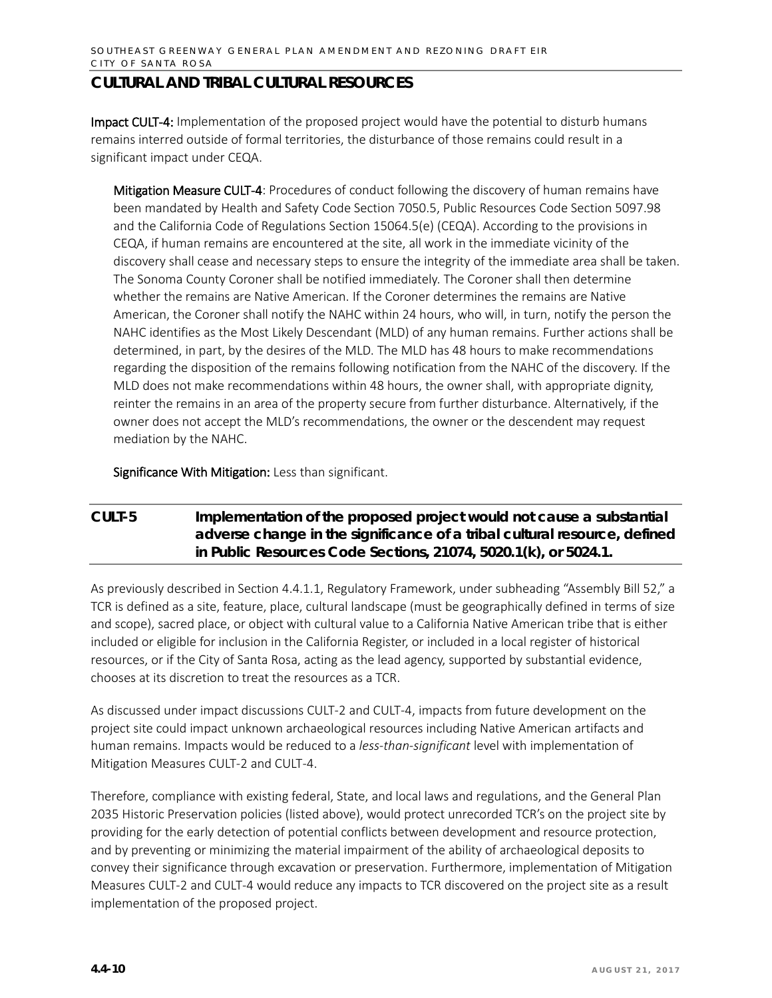Impact CULT-4: Implementation of the proposed project would have the potential to disturb humans remains interred outside of formal territories, the disturbance of those remains could result in a significant impact under CEQA.

Mitigation Measure CULT-4: Procedures of conduct following the discovery of human remains have been mandated by Health and Safety Code Section 7050.5, Public Resources Code Section 5097.98 and the California Code of Regulations Section 15064.5(e) (CEQA). According to the provisions in CEQA, if human remains are encountered at the site, all work in the immediate vicinity of the discovery shall cease and necessary steps to ensure the integrity of the immediate area shall be taken. The Sonoma County Coroner shall be notified immediately. The Coroner shall then determine whether the remains are Native American. If the Coroner determines the remains are Native American, the Coroner shall notify the NAHC within 24 hours, who will, in turn, notify the person the NAHC identifies as the Most Likely Descendant (MLD) of any human remains. Further actions shall be determined, in part, by the desires of the MLD. The MLD has 48 hours to make recommendations regarding the disposition of the remains following notification from the NAHC of the discovery. If the MLD does not make recommendations within 48 hours, the owner shall, with appropriate dignity, reinter the remains in an area of the property secure from further disturbance. Alternatively, if the owner does not accept the MLD's recommendations, the owner or the descendent may request mediation by the NAHC.

Significance With Mitigation: Less than significant.

# **CULT-5 Implementation of the proposed project would not cause a substantial adverse change in the significance of a tribal cultural resource, defined in Public Resources Code Sections, 21074, 5020.1(k), or 5024.1.**

As previously described in Section 4.4.1.1, Regulatory Framework, under subheading "Assembly Bill 52," a TCR is defined as a site, feature, place, cultural landscape (must be geographically defined in terms of size and scope), sacred place, or object with cultural value to a California Native American tribe that is either included or eligible for inclusion in the California Register, or included in a local register of historical resources, or if the City of Santa Rosa, acting as the lead agency, supported by substantial evidence, chooses at its discretion to treat the resources as a TCR.

As discussed under impact discussions CULT-2 and CULT-4, impacts from future development on the project site could impact unknown archaeological resources including Native American artifacts and human remains. Impacts would be reduced to a *less-than-significant* level with implementation of Mitigation Measures CULT-2 and CULT-4.

Therefore, compliance with existing federal, State, and local laws and regulations, and the General Plan 2035 Historic Preservation policies (listed above), would protect unrecorded TCR's on the project site by providing for the early detection of potential conflicts between development and resource protection, and by preventing or minimizing the material impairment of the ability of archaeological deposits to convey their significance through excavation or preservation. Furthermore, implementation of Mitigation Measures CULT-2 and CULT-4 would reduce any impacts to TCR discovered on the project site as a result implementation of the proposed project.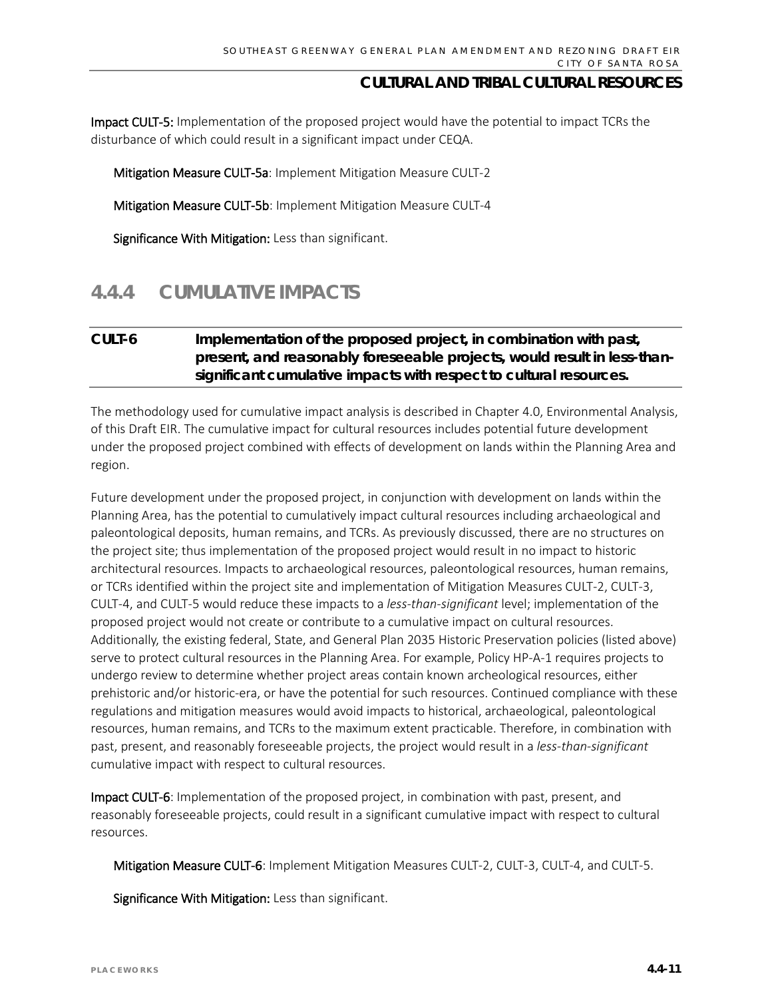Impact CULT-5: Implementation of the proposed project would have the potential to impact TCRs the disturbance of which could result in a significant impact under CEQA.

Mitigation Measure CULT-5a: Implement Mitigation Measure CULT-2

Mitigation Measure CULT-5b: Implement Mitigation Measure CULT-4

Significance With Mitigation: Less than significant.

# **4.4.4 CUMULATIVE IMPACTS**

## **CULT-6 Implementation of the proposed project, in combination with past, present, and reasonably foreseeable projects, would result in less-thansignificant cumulative impacts with respect to cultural resources.**

The methodology used for cumulative impact analysis is described in Chapter 4.0, Environmental Analysis, of this Draft EIR. The cumulative impact for cultural resources includes potential future development under the proposed project combined with effects of development on lands within the Planning Area and region.

Future development under the proposed project, in conjunction with development on lands within the Planning Area, has the potential to cumulatively impact cultural resources including archaeological and paleontological deposits, human remains, and TCRs. As previously discussed, there are no structures on the project site; thus implementation of the proposed project would result in no impact to historic architectural resources. Impacts to archaeological resources, paleontological resources, human remains, or TCRs identified within the project site and implementation of Mitigation Measures CULT-2, CULT-3, CULT-4, and CULT-5 would reduce these impacts to a *less-than-significant* level; implementation of the proposed project would not create or contribute to a cumulative impact on cultural resources. Additionally, the existing federal, State, and General Plan 2035 Historic Preservation policies (listed above) serve to protect cultural resources in the Planning Area. For example, Policy HP-A-1 requires projects to undergo review to determine whether project areas contain known archeological resources, either prehistoric and/or historic-era, or have the potential for such resources. Continued compliance with these regulations and mitigation measures would avoid impacts to historical, archaeological, paleontological resources, human remains, and TCRs to the maximum extent practicable. Therefore, in combination with past, present, and reasonably foreseeable projects, the project would result in a *less-than-significant* cumulative impact with respect to cultural resources.

Impact CULT-6: Implementation of the proposed project, in combination with past, present, and reasonably foreseeable projects, could result in a significant cumulative impact with respect to cultural resources.

Mitigation Measure CULT-6: Implement Mitigation Measures CULT-2, CULT-3, CULT-4, and CULT-5.

Significance With Mitigation: Less than significant.